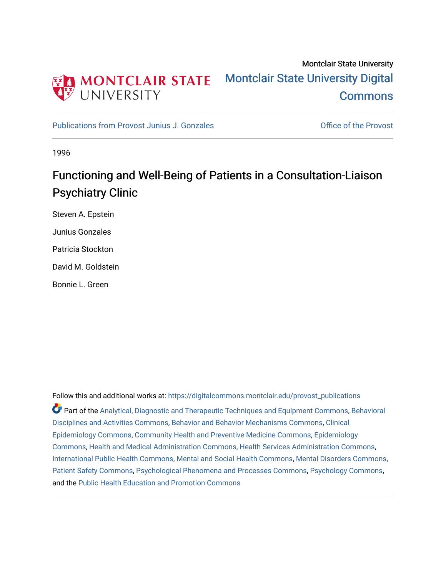

# Montclair State University [Montclair State University Digital](https://digitalcommons.montclair.edu/)  **Commons**

[Publications from Provost Junius J. Gonzales](https://digitalcommons.montclair.edu/provost_publications) **Constant Constant Constant Constant Constant Constant Constant Const** 

1996

# Functioning and Well-Being of Patients in a Consultation-Liaison Psychiatry Clinic

Steven A. Epstein Junius Gonzales Patricia Stockton David M. Goldstein Bonnie L. Green

Follow this and additional works at: [https://digitalcommons.montclair.edu/provost\\_publications](https://digitalcommons.montclair.edu/provost_publications?utm_source=digitalcommons.montclair.edu%2Fprovost_publications%2F2&utm_medium=PDF&utm_campaign=PDFCoverPages)  Part of the [Analytical, Diagnostic and Therapeutic Techniques and Equipment Commons](http://network.bepress.com/hgg/discipline/899?utm_source=digitalcommons.montclair.edu%2Fprovost_publications%2F2&utm_medium=PDF&utm_campaign=PDFCoverPages), [Behavioral](http://network.bepress.com/hgg/discipline/980?utm_source=digitalcommons.montclair.edu%2Fprovost_publications%2F2&utm_medium=PDF&utm_campaign=PDFCoverPages)  [Disciplines and Activities Commons](http://network.bepress.com/hgg/discipline/980?utm_source=digitalcommons.montclair.edu%2Fprovost_publications%2F2&utm_medium=PDF&utm_campaign=PDFCoverPages), [Behavior and Behavior Mechanisms Commons](http://network.bepress.com/hgg/discipline/963?utm_source=digitalcommons.montclair.edu%2Fprovost_publications%2F2&utm_medium=PDF&utm_campaign=PDFCoverPages), [Clinical](http://network.bepress.com/hgg/discipline/815?utm_source=digitalcommons.montclair.edu%2Fprovost_publications%2F2&utm_medium=PDF&utm_campaign=PDFCoverPages)  [Epidemiology Commons,](http://network.bepress.com/hgg/discipline/815?utm_source=digitalcommons.montclair.edu%2Fprovost_publications%2F2&utm_medium=PDF&utm_campaign=PDFCoverPages) [Community Health and Preventive Medicine Commons](http://network.bepress.com/hgg/discipline/744?utm_source=digitalcommons.montclair.edu%2Fprovost_publications%2F2&utm_medium=PDF&utm_campaign=PDFCoverPages), [Epidemiology](http://network.bepress.com/hgg/discipline/740?utm_source=digitalcommons.montclair.edu%2Fprovost_publications%2F2&utm_medium=PDF&utm_campaign=PDFCoverPages)  [Commons](http://network.bepress.com/hgg/discipline/740?utm_source=digitalcommons.montclair.edu%2Fprovost_publications%2F2&utm_medium=PDF&utm_campaign=PDFCoverPages), [Health and Medical Administration Commons,](http://network.bepress.com/hgg/discipline/663?utm_source=digitalcommons.montclair.edu%2Fprovost_publications%2F2&utm_medium=PDF&utm_campaign=PDFCoverPages) [Health Services Administration Commons,](http://network.bepress.com/hgg/discipline/747?utm_source=digitalcommons.montclair.edu%2Fprovost_publications%2F2&utm_medium=PDF&utm_campaign=PDFCoverPages) [International Public Health Commons](http://network.bepress.com/hgg/discipline/746?utm_source=digitalcommons.montclair.edu%2Fprovost_publications%2F2&utm_medium=PDF&utm_campaign=PDFCoverPages), [Mental and Social Health Commons](http://network.bepress.com/hgg/discipline/709?utm_source=digitalcommons.montclair.edu%2Fprovost_publications%2F2&utm_medium=PDF&utm_campaign=PDFCoverPages), [Mental Disorders Commons,](http://network.bepress.com/hgg/discipline/968?utm_source=digitalcommons.montclair.edu%2Fprovost_publications%2F2&utm_medium=PDF&utm_campaign=PDFCoverPages) [Patient Safety Commons,](http://network.bepress.com/hgg/discipline/1410?utm_source=digitalcommons.montclair.edu%2Fprovost_publications%2F2&utm_medium=PDF&utm_campaign=PDFCoverPages) [Psychological Phenomena and Processes Commons](http://network.bepress.com/hgg/discipline/914?utm_source=digitalcommons.montclair.edu%2Fprovost_publications%2F2&utm_medium=PDF&utm_campaign=PDFCoverPages), [Psychology Commons](http://network.bepress.com/hgg/discipline/404?utm_source=digitalcommons.montclair.edu%2Fprovost_publications%2F2&utm_medium=PDF&utm_campaign=PDFCoverPages), and the [Public Health Education and Promotion Commons](http://network.bepress.com/hgg/discipline/743?utm_source=digitalcommons.montclair.edu%2Fprovost_publications%2F2&utm_medium=PDF&utm_campaign=PDFCoverPages)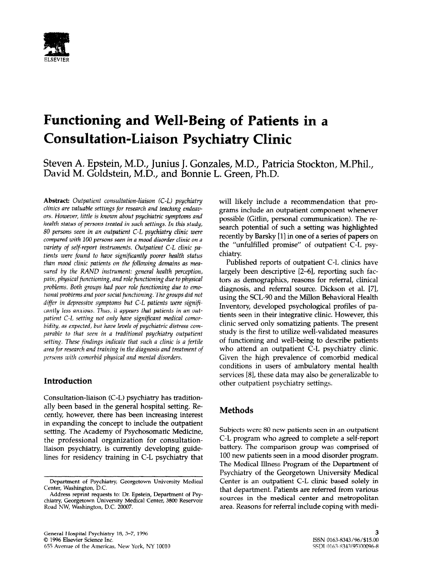

# Functioning and Well-Being of Patients in a Consultation-Liaison Psychiatry Clinic

Steven A. Epstein, M.D., Junius J. Gonzales, M.D., Patricia Stockton, M.Phil., David M. Goldstein, M.D., and Bonnie L. Green, Ph.D.

Abstract: Outpatient consultation-liaison (C-L) psychiatry clinics are valuable settings for research and teaching endeavors. However, little is known about psychiatric symptoms and health status of persons treated in such settings. In this study, 80 persons seen in an outpatient C-L psychiatry clinic were compared with 100 persons seen in a mood disorder clinic on a variety of self-report instruments. Outpatient C-L clinic patients were found to have significantly poorer health status than mood clinic patients on the following domains as measured by the RAND instrument: general health perception, pain, physical functioning, and role functioning due to physical problems. Both groups had poor role functioning due to emotional problems and poor social functioning. The groups did not differ in depressive symptoms but C-L patients were significantly less anxious. Thus, it appears that patients in an outpatient C-L setting not only have significant medical comorbidity, as expected, but have levels of psychiatric distress comparable to that seen in a traditional psychiatry outpatient setting. These findings indicate that such a clinic is a fertile area for research and training in the diagnosis and treatment of persons with comorbid physical and mental disorders.

## Introduction

Consultation-liaison (C-L) psychiatry has traditionally been based in the general hospital setting. Recently, however, there has been increasing interest concept to the concept the outpatient the outpatient net expanding are concept to meader are outputed  $t_{\text{t}}$  and the properties or constructed for constants line professional organization for construction liaison psychiatry, is currently developing guide-<br>lines for residency training in C-L psychiatry that will likely include a recommendation that programs include an outpatient component whenever possible (Gitlin, personal communication). The research potential of such a setting was highlighted recently by Barsky [ll in one of a series of papers on the "unfulfilled promise" of outpatient C-L psychiatry.

Published reports of outpatient C-L clinics have largely been descriptive [2-6], reporting such factors as demographics, reasons for referral, clinical diagnosis, and referral source. Dickson et al. [7], using the SCL-90 and the Millon Behavioral Health Inventory, developed psychological profiles of patients seen in their integrative clinic. However, this clinic served only somatizing patients. The present study is the first to utilize well-validated measures of functioning and well-being to describe patients who attend an outpatient C-L psychiatry clinic. Given the high prevalence of comotbid medical conditions in users of ambulatory mental health services [8], these data may also be generalizable to other outpatient psychiatry settings.

# Methods

Subjects were 80 new patients seen in an outpatient capecio were ob new patiento occur in un outpanier  $\epsilon$   $\mu$  program who agreed to comprete a sen report battery. The comparison group was comprised of 100 new patients seen in a mood disorder program. The Medical Illness Program of the Department of Psychiatry of the Georgetown University Medical Center is an outpatient C-L clinic based solely in that department. Patients are referred from various sources in the medical center and metropolitan area. Reasons for referral include coping with medi-

Department of Psychiatry, Georgetown University Medical Department of Psychiatry, Georgetown University Medical Center, Washington, D.C.

Address reprint requests to: Dr. Epstein, Department of Psychiatry, Georgetown University Medical Center, 3800 Reservoir Road NW, Washington, D.C. 20007.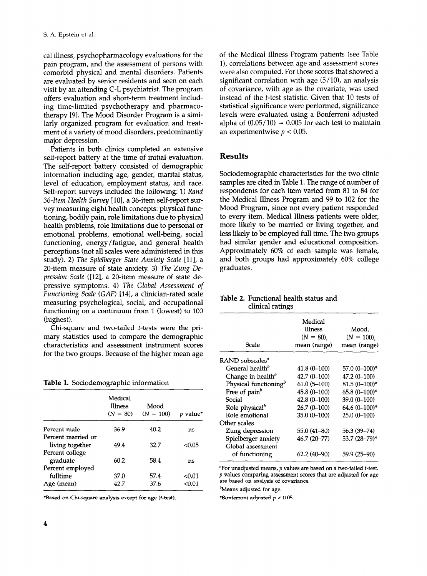cal illness, psychopharmacology evaluations for the pain program, and the assessment of persons with comorbid physical and mental disorders. Patients are evaluated by senior residents and seen on each visit by an attending C-L psychiatrist. The program offers evaluation and short-term treatment including time-limited psychotherapy and pharmacotherapy 191. The Mood Disorder Program is a similarly organized program for evaluation and treatment of a variety of mood disorders, predominantly major depression.

Patients in both clinics completed an extensive self-report battery at the time of initial evaluation. The self-report battery consisted of demographic information including age, gender, marital status, level of education, employment status, and race. Self-report surveys included the following: 1) Rand 36-Item Health Survey [10], a 36-item self-report survey measuring eight health concepts: physical functioning, bodily pain, role limitations due to physical health problems, role limitations due to personal or emotional problems, emotional well-being, social functioning, energy/fatigue, and general health perceptions (not all scales were administered in this study). 2) The Spielberger State Anxiety Scale [11], a 20-item measure of state anxiety. 3) The Zung Depression Scale ([12], a 20-item measure of state depressive symptoms. 4) The Global Assessment of Functioning Scale (GAF) [14], a clinician-rated scale measuring psychological, social, and occupational functioning on a continuum from I (lowest) to 100 (highest).

Chi-square and two-tailed t-tests were the primary statistics used to compare the demographic characteristics and assessment instrument scores for the two groups. Because of the higher mean age

|  | Table 1. Sociodemographic information |  |
|--|---------------------------------------|--|
|  |                                       |  |

|                    | Medical<br>Illness<br>$(N = 80)$ | Mood<br>$(N = 100)$ | value* |
|--------------------|----------------------------------|---------------------|--------|
| Percent male       | 36.9                             | 40.2                | ns     |
| Percent married or |                                  |                     |        |
| living together    | 49.4                             | 32.7                | < 0.05 |
| Percent college    |                                  |                     |        |
| graduate           | 60.2                             | 58.4                | ns     |
| Percent employed   |                                  |                     |        |
| fulltime           | 37.0                             | 57.4                | < 0.01 |
| Age (mean)         | 42.7                             | 37.6                | < 0.01 |

\*Based on Chi-square analysis except for age (t-test).

of the Medical Illness Program patients (see Table l), correlations between age and assessment scores were also computed. For those scores that showed a significant correlation with age (5/10), an analysis of covariance, with age as the covariate, was used instead of the t-test statistic. Given that 10 tests of statistical significance were performed, significance levels were evaluated using a Bonferroni adjusted alpha of  $(0.05/10) = 0.005$  for each test to maintain an experimentwise  $p < 0.05$ .

### Results

Sociodemographic characteristics for the two clinic samples are cited in Table 1. The range of number of respondents for each item varied from 81 to 84 for the Medical Illness Program and 99 to 102 for the Mood Program, since not every patient responded to every item. Medical Illness patients were older, more likely to be married or living together, and less likely to be employed full time. The two groups had similar gender and educational composition. Approximately 60% of each sample was female, and both groups had approximately 60% college graduates.

#### Table 2. Functional health status and clinical ratings

| Scale                                    | Medical<br><b>Illness</b><br>$(N = 80)$ .<br>mean (range) | Mood,<br>$(N = 100)$ ,<br>mean (range) |
|------------------------------------------|-----------------------------------------------------------|----------------------------------------|
| RAND subscales <sup>a</sup>              |                                                           |                                        |
| General health <sup>b</sup>              | 41.8 (0-100)                                              | 57.0 (0-100)*                          |
| Change in health <sup>b</sup>            | 42.7 (0-100)                                              | 47.2 (0-100)                           |
| Physical functioning $^b$                | $61.0(5-100)$                                             | $81.5(0-100)*$                         |
| Free of $\text{pain}^b$                  | 45.8 (0-100)                                              | 65.8 (0-100)*                          |
| Social                                   | 42.8 (0-100)                                              | 39.0 (0-100)                           |
| Role physical <sup>b</sup>               | 26.7 (0–100)                                              | 64.6 (0-100)*                          |
| Role emotional                           | 35.0 (0-100)                                              | $25.0(0-100)$                          |
| Other scales                             |                                                           |                                        |
| Zung depression                          | 55.0 (41–80)                                              | 56.3 (39–74)                           |
| Spielberger anxiety<br>Global assessment | 46.7 (20–77)                                              | 53.7 (28–79)*                          |
| of functioning                           | $62.2(40 - 90)$                                           | 59.9 (25–90)                           |

 $\Gamma$  values are based on a two-taned  $\iota$ -test  $p$  values comparing assessment scores that are adjusted for age are based on analysis of covariance.<br>"Means adjusted for age.

\*Bonferroni adjusted  $p < 0.05$ .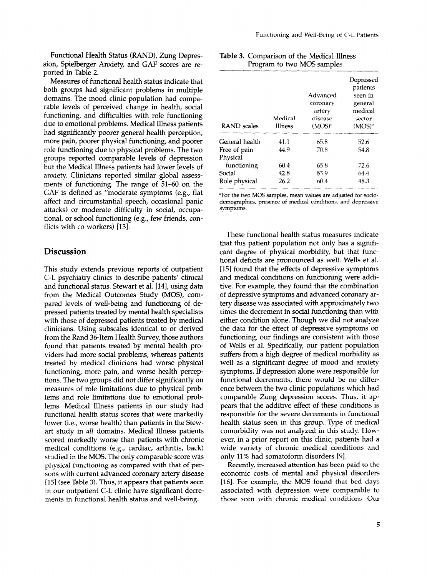Functional Health Status (RAND), Zung Depression, Spielberger Anxiety, and GAF scores are reported in Table 2.

Measures of functional health status indicate that both groups had significant problems in multiple domains. The mood clinic population had comparable levels of perceived change in health, social functioning, and difficulties with role functioning due to emotional problems. Medical Illness patients had significantly poorer general health perception, more pain, poorer physical functioning, and poorer role functioning due to physical problems. The two groups reported comparable levels of depression but the Medical Illness patients had lower levels of anxiety. Clinicians reported similar global assessments of functioning. The range of 51-60 on the GAF is defined as "moderate symptoms (e.g., flat affect and circumstantial speech, occasional panic attacks) or moderate difficulty in social, occupational, or school functioning (e.g., few friends, conflicts with co-workers) [13].

#### Discussion

This study extends previous reports of outpatient C-L psychiatry clinics to describe patients' clinical and functional status. Stewart et al. [14], using data from the Medical Outcomes Study (MOS), compared levels of well-being and functioning of depressed patients treated by mental health specialists with those of depressed patients treated by medical clinicians. Using subscales identical to or derived from the Rand 36-Item Health Survey, those authors found that patients treated by mental health providers had more social problems, whereas patients treated by medical clinicians had worse physical functioning, more pain, and worse health perceptions. The two groups did not differ significantly on measures of role limitations due to physical problems and role limitations due to emotional problems. Medical Illness patients in our study had functional health status scores that were markedly lower (i.e., worse health) than patients in the Stewart study in all domains. Medical Illness patients school worse than patients with chronical market patients with chronical patients with chronical materials with chronical materials with chronical materials with chronical materials with chronical materials with chronical  $\frac{m}{1000}$  contractions (e.g., cardiac, arthritis, back) medical conditions (e.g., cardiac, arthritis, back) studied in the MOS. The only comparable score was physical functioning as compared with that of persons with current advanced coronary artery disease  $[15]$  (see Table 3). Thus, it appears that patients seen in our outpatient C-L clinic have significant decrements in functional health status and well-being.

| <b>RAND</b> scales | Medical<br><b>Illness</b> | Advanced<br>coronary<br>artery<br>disease<br>$(MOS)^n$ | Depressed<br>patients<br>seen in<br>general<br>medical<br>sector<br>$(MOS)^a$ |
|--------------------|---------------------------|--------------------------------------------------------|-------------------------------------------------------------------------------|
| General health     | 41.1                      | 65.8                                                   | 52.6                                                                          |
| Free of pain       | 44.9                      | 70.8                                                   | 54.8                                                                          |
| Physical           |                           |                                                        |                                                                               |
| functioning        | 60.4                      | 65.8                                                   | 72.6                                                                          |
| Social             | 42.8                      | 83.9                                                   | 64.4                                                                          |
| Role physical      | 26.2                      | 60.4                                                   | 48.3                                                                          |

Table 3. Comparison of the Medical Illness Program to two MOS samples

"For the two MOS samples, mean values are adjusted for sociodemographics, presence of medical conditions, and depressive symptoms.

These functional health status measures indicate that this patient population not only has a significant degree of physical morbidity, but that functional deficits are pronounced as well, Wells et al. [15] found that the effects of depressive symptoms and medical conditions on functioning were additive. For example, they found that the combination of depressive symptoms and advanced coronary artery disease was associated with approximately two times the decrement in social functioning than with either condition alone. Though we did not analyze the data for the effect of depressive symptoms on functioning, our findings are consistent with those of Wells et al. Specifically, our patient population suffers from a high degree of medical morbidity as well as a significant degree of mood and anxiety symptoms. If depression alone were responsible for functional decrements, there would be no difference between the two clinic populations which had comparable Zung depression scores. Thus, it appears that the additive effect of these conditions is responsible for the severe decrements in functional health status seen in this group. Type of medical comorbidity was not analyzed in this study. However, in a prior report on this clinic, patients had a wide variety of chronic medical conditions and only 11% had somatoform disorders 191. Recently, increased attention has been paid to the

 $\frac{1}{2}$ economic costs of mental disorders of  $\frac{1}{2}$ economic costs of mental and physical disorders [16]. For example, the MOS found that bed days associated with depression were comparable to<br>those seen with chronic medical conditions. Our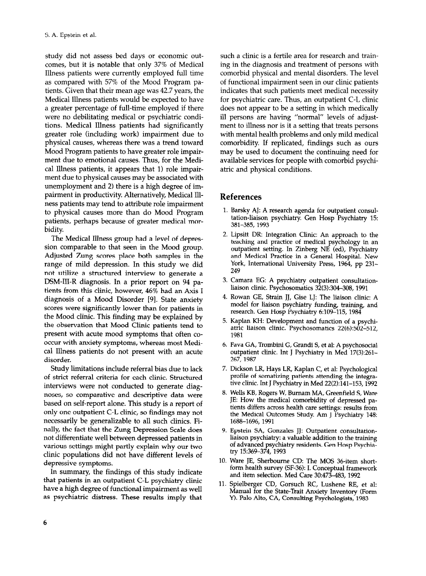study did not assess bed days or economic outcomes, but it is notable that only 37% of Medical Illness patients were currently employed full time as compared with 57% of the Mood Program patients. Given that their mean age was 42.7 years, the Medical Illness patients would be expected to have a greater percentage of full-time employed if there were no debilitating medical or psychiatric conditions. Medical Illness patients had significantly greater role (including work) impairment due to physical causes, whereas there was a trend toward Mood Program patients to have greater role impairment due to emotional causes. Thus, for the Medical Illness patients, it appears that 1) role impairment due to physical causes may be associated with unemployment and 2) there is a high degree of impairment in productivity. Alternatively, Medical Illness patients may tend to attribute role impairment to physical causes more than do Mood Program patients, perhaps because of greater medical morbidity.

The Medical Illness group had a level of depression comparable to that seen in the Mood group. Adjusted Zung scores place both samples in the range of mild depression. In this study we did not utilize a structured interview to generate a DSM-III-R diagnosis. In a prior report on 94 patients from this clinic, however, 46% had an Axis I diagnosis of a Mood Disorder [91. State anxiety scores were significantly lower than for patients in the Mood clinic. This finding may be explained by the observation that Mood Clinic patients tend to present with acute mood symptoms that often cooccur with anxiety symptoms, whereas most Medical Illness patients do not present with an acute disorder.

Study limitations include referral bias due to lack of strict referral criteria for each clinic. Structured interviews were not conducted to generate diagnoses, so comparative and descriptive data were based on self-report alone. This study is a report of only one outpatient C-L clinic, so findings may not necessarily be generalizable to all such clinics. Finally, the fact that the Zung Depression Scale does not differentiate well between depressed patients in various settings might partly explain why our two clinic populations did not have different levels of depressive symptoms.

In summary, the findings of this study indicate that patients in an outpatient C-L psychiatry clinic have particle in an output end of poyenting emitty as paragret distribution in put that is well

such a clinic is a fertile area for research and training in the diagnosis and treatment of persons with comorbid physical and mental disorders. The level of functional impairment seen in our clinic patients indicates that such patients meet medical necessity for psychiatric care. Thus, an outpatient C-L clinic does not appear to be a setting in which medically ill persons are having "normal" levels of adjustment to illness nor is it a setting that treats persons with mental health problems and only mild medical comorbidity. If replicated, findings such as ours may be used to document the continuing need for available services for people with comorbid psychiatric and physical conditions.

## References

- 1. Barsky AJ: A research agenda for outpatient consultation-liaison psychiatry. Gen Hosp Psychiatry 15: 381-385, 1993
- 2. Lipsitt DR: Integration Clinic: An approach to the teaching and practice of medical psychology in an outpatient setting. In Zinberg NE (ed), Psychiatry and Medical Practice in a General Hospital. New York, International University Press, 1964, pp 231- 249
- 3. Camara EG: A psychiatry outpatient consultationliaison clinic. Psychosomatics 32(3):304-308, 1991
- 4. Rowan GE, Strain JJ, Gise LJ: The liaison clinic: A model for liaison psychiatry funding, training, and research. Gen Hosp Psychiatry 6:109-115, 1984
- 5. Kaplan KH: Development and function of a psychiatric liaison clinic. Psychosomatics 22(6):502-512, 1981
- 6. Fava GA, Trombini G, Grandi S, et al: A psychosocial outpatient clinic. Int J Psychiatry in Med 17(3):261- 267,1987
- $7.$  Dickson LR, Hays LR,  $K_{\text{reflex}}$  C, et al: Psychological:  $\frac{1}{2}$ profile of somatizing patients attending the integrative clinic. Int J Psychiatry in Med 22(2):141-153,1992
- $8. \text{Wb}$  Equipment M, Buman MA,  $G = 6.116 \text{ yr}$  $\sum_{i=1}^{n} \sum_{i=1}^{n} \sum_{j=1}^{n} \sum_{j=1}^{n} \sum_{j=1}^{n} \sum_{j=1}^{n} \sum_{j=1}^{n} \sum_{j=1}^{n} \sum_{j=1}^{n} \sum_{j=1}^{n} \sum_{j=1}^{n} \sum_{j=1}^{n} \sum_{j=1}^{n} \sum_{j=1}^{n} \sum_{j=1}^{n} \sum_{j=1}^{n} \sum_{j=1}^{n} \sum_{j=1}^{n} \sum_{j=1}^{n} \sum_{j=1}^{n} \sum_{j=1}^{n} \sum_{j=1}^{n}$ tients different accompany of depressed pathe Medical Outcomes Study. Am J Psychology 148: 168-1606, 199<br>1699-1696, 199
- 9. Epstein SA, Gonzales JJ: Outpatient consultation-Lipsiem JA, Gonzales jj. Ouipatiem consultation liaison psychiatry: a valuable addition to the training of advanced psychiatry residents. Gen Hosp Psychiatry 15:369-374, 1993
- $\frac{1}{2}$  is the MOS 36-item short-the MOS 36-item short-the MOS 36-item short-the MOS 36-item short-the MOS 36-item short-the MOS 36-item short-the MOS 36-item short-the MOS 36-item short-the MOS 36-item short-the MOS 36  $\frac{1}{2}$  for  $\frac{1}{2}$  survey (SF-36): I. Conceptual framework and item survey (5r-50). I. Conceptual frame
- $\frac{1}{100}$ .  $\frac{1}{100}$ Spielberger CD, Gorsuch RC, Lushene RE, et al: Manual for the State-Trait Anxiety Inventory (Form Y). Palo Alto, CA, Consulting Psychologists, 1983